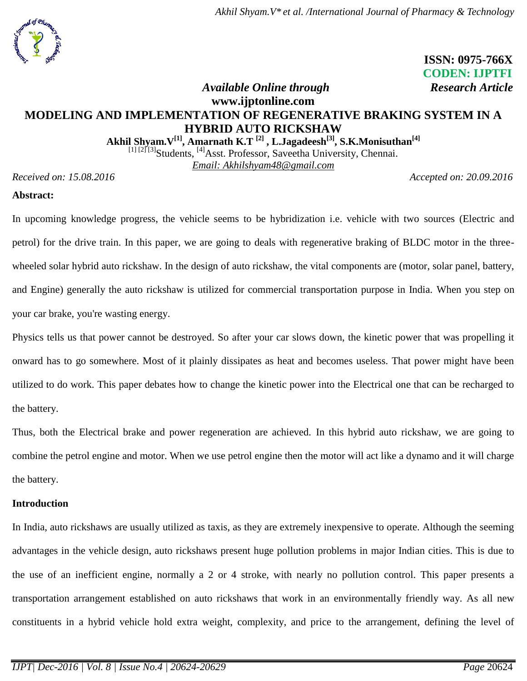*Akhil Shyam.V\* et al. /International Journal of Pharmacy & Technology*



 **ISSN: 0975-766X CODEN: IJPTFI**  *Available Online through Research Article*

# **www.ijptonline.com MODELING AND IMPLEMENTATION OF REGENERATIVE BRAKING SYSTEM IN A HYBRID AUTO RICKSHAW**

**Akhil Shyam.V[1] , Amarnath K.T [2] , L.Jagadeesh[3], S.K.Monisuthan[4]**

[1] [2] [3] Students, <sup>[4]</sup> Asst. Professor, Saveetha University, Chennai.

*Email: Akhilshyam48@gmail.com*

*Received on: 15.08.2016 Accepted on: 20.09.2016*

#### **Abstract:**

In upcoming knowledge progress, the vehicle seems to be hybridization i.e. vehicle with two sources (Electric and petrol) for the drive train. In this paper, we are going to deals with regenerative braking of BLDC motor in the threewheeled solar hybrid auto rickshaw. In the design of auto rickshaw, the vital components are (motor, solar panel, battery, and Engine) generally the auto rickshaw is utilized for commercial transportation purpose in India. When you step on your car brake, you're wasting energy.

Physics tells us that power cannot be destroyed. So after your car slows down, the kinetic power that was propelling it onward has to go somewhere. Most of it plainly dissipates as heat and becomes useless. That power might have been utilized to do work. This paper debates how to change the kinetic power into the Electrical one that can be recharged to the battery.

Thus, both the Electrical brake and power regeneration are achieved. In this hybrid auto rickshaw, we are going to combine the petrol engine and motor. When we use petrol engine then the motor will act like a dynamo and it will charge the battery.

#### **Introduction**

In India, auto rickshaws are usually utilized as taxis, as they are extremely inexpensive to operate. Although the seeming advantages in the vehicle design, auto rickshaws present huge pollution problems in major Indian cities. This is due to the use of an inefficient engine, normally a 2 or 4 stroke, with nearly no pollution control. This paper presents a transportation arrangement established on auto rickshaws that work in an environmentally friendly way. As all new constituents in a hybrid vehicle hold extra weight, complexity, and price to the arrangement, defining the level of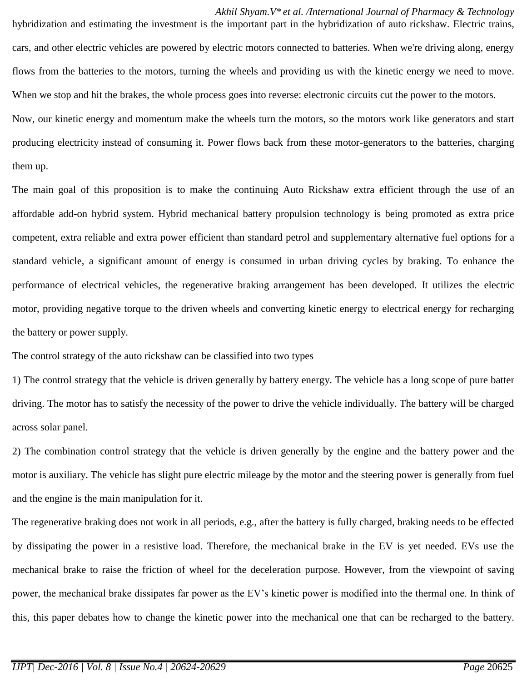*Akhil Shyam.V\* et al. /International Journal of Pharmacy & Technology* hybridization and estimating the investment is the important part in the hybridization of auto rickshaw. Electric trains, cars, and other electric vehicles are powered by electric motors connected to batteries. When we're driving along, energy flows from the batteries to the motors, turning the wheels and providing us with the kinetic energy we need to move. When we stop and hit the brakes, the whole process goes into reverse: electronic circuits cut the power to the motors. Now, our kinetic energy and momentum make the wheels turn the motors, so the motors work like generators and start producing electricity instead of consuming it. Power flows back from these motor-generators to the batteries, charging them up.

The main goal of this proposition is to make the continuing Auto Rickshaw extra efficient through the use of an affordable add-on hybrid system. Hybrid mechanical battery propulsion technology is being promoted as extra price competent, extra reliable and extra power efficient than standard petrol and supplementary alternative fuel options for a standard vehicle, a significant amount of energy is consumed in urban driving cycles by braking. To enhance the performance of electrical vehicles, the regenerative braking arrangement has been developed. It utilizes the electric motor, providing negative torque to the driven wheels and converting kinetic energy to electrical energy for recharging the battery or power supply.

The control strategy of the auto rickshaw can be classified into two types

1) The control strategy that the vehicle is driven generally by battery energy. The vehicle has a long scope of pure batter driving. The motor has to satisfy the necessity of the power to drive the vehicle individually. The battery will be charged across solar panel.

2) The combination control strategy that the vehicle is driven generally by the engine and the battery power and the motor is auxiliary. The vehicle has slight pure electric mileage by the motor and the steering power is generally from fuel and the engine is the main manipulation for it.

The regenerative braking does not work in all periods, e.g., after the battery is fully charged, braking needs to be effected by dissipating the power in a resistive load. Therefore, the mechanical brake in the EV is yet needed. EVs use the mechanical brake to raise the friction of wheel for the deceleration purpose. However, from the viewpoint of saving power, the mechanical brake dissipates far power as the EV's kinetic power is modified into the thermal one. In think of this, this paper debates how to change the kinetic power into the mechanical one that can be recharged to the battery.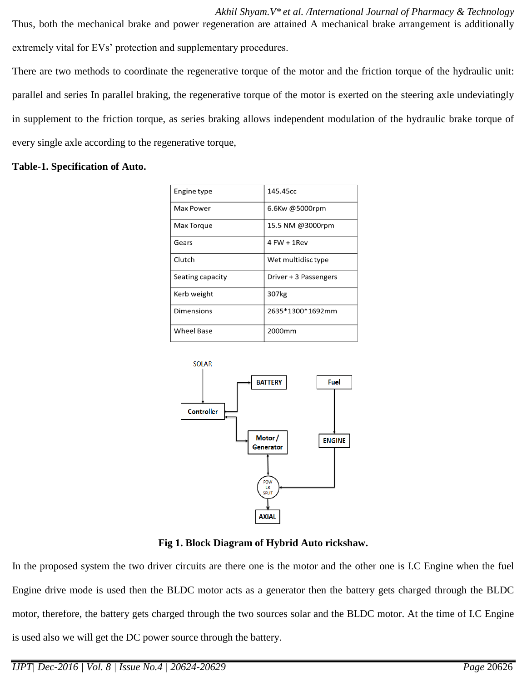*Akhil Shyam.V\* et al. /International Journal of Pharmacy & Technology* Thus, both the mechanical brake and power regeneration are attained A mechanical brake arrangement is additionally extremely vital for EVs' protection and supplementary procedures.

There are two methods to coordinate the regenerative torque of the motor and the friction torque of the hydraulic unit: parallel and series In parallel braking, the regenerative torque of the motor is exerted on the steering axle undeviatingly in supplement to the friction torque, as series braking allows independent modulation of the hydraulic brake torque of every single axle according to the regenerative torque,

#### **Table-1. Specification of Auto.**

| Engine type       | 145.45cc              |
|-------------------|-----------------------|
| Max Power         | 6.6Kw @5000rpm        |
| Max Torque        | 15.5 NM @3000rpm      |
| Gears             | 4 FW + 1 Rev          |
| Clutch            | Wet multidisc type    |
| Seating capacity  | Driver + 3 Passengers |
| Kerb weight       | 307kg                 |
| Dimensions        | 2635*1300*1692mm      |
| <b>Wheel Base</b> | 2000 <sub>mm</sub>    |



**Fig 1. Block Diagram of Hybrid Auto rickshaw.**

In the proposed system the two driver circuits are there one is the motor and the other one is I.C Engine when the fuel Engine drive mode is used then the BLDC motor acts as a generator then the battery gets charged through the BLDC motor, therefore, the battery gets charged through the two sources solar and the BLDC motor. At the time of I.C Engine is used also we will get the DC power source through the battery.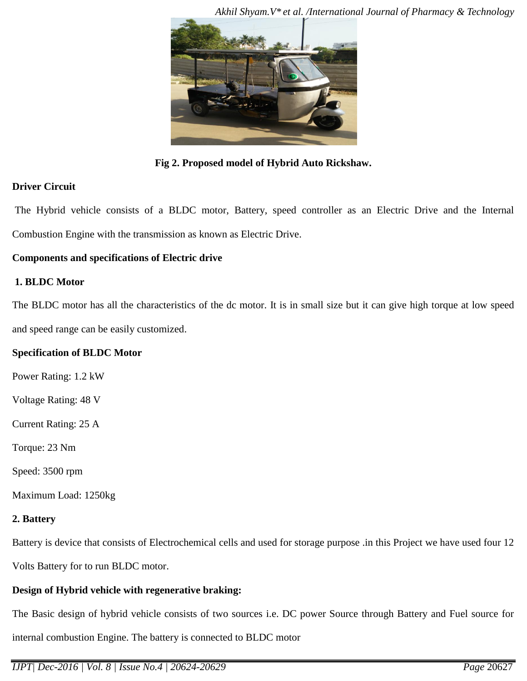

**Fig 2. Proposed model of Hybrid Auto Rickshaw.**

# **Driver Circuit**

The Hybrid vehicle consists of a BLDC motor, Battery, speed controller as an Electric Drive and the Internal Combustion Engine with the transmission as known as Electric Drive.

# **Components and specifications of Electric drive**

#### **1. BLDC Motor**

The BLDC motor has all the characteristics of the dc motor. It is in small size but it can give high torque at low speed and speed range can be easily customized.

# **Specification of BLDC Motor**

Power Rating: 1.2 kW

Voltage Rating: 48 V

Current Rating: 25 A

Torque: 23 Nm

Speed: 3500 rpm

Maximum Load: 1250kg

# **2. Battery**

Battery is device that consists of Electrochemical cells and used for storage purpose .in this Project we have used four 12

Volts Battery for to run BLDC motor.

# **Design of Hybrid vehicle with regenerative braking:**

The Basic design of hybrid vehicle consists of two sources i.e. DC power Source through Battery and Fuel source for internal combustion Engine. The battery is connected to BLDC motor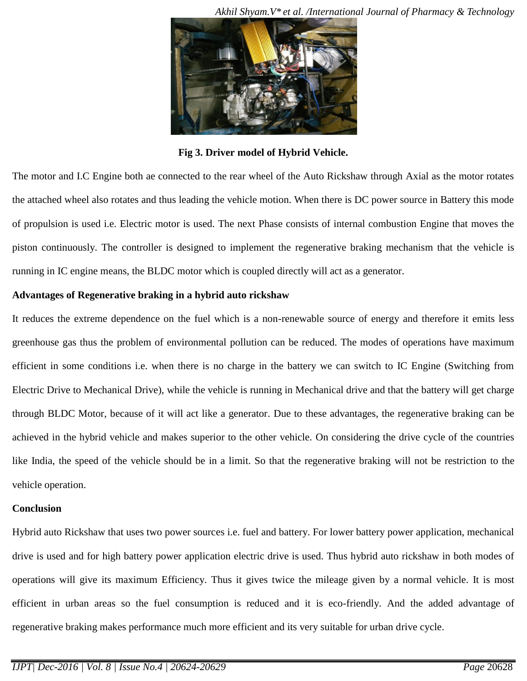

**Fig 3. Driver model of Hybrid Vehicle.**

The motor and I.C Engine both ae connected to the rear wheel of the Auto Rickshaw through Axial as the motor rotates the attached wheel also rotates and thus leading the vehicle motion. When there is DC power source in Battery this mode of propulsion is used i.e. Electric motor is used. The next Phase consists of internal combustion Engine that moves the piston continuously. The controller is designed to implement the regenerative braking mechanism that the vehicle is running in IC engine means, the BLDC motor which is coupled directly will act as a generator.

# **Advantages of Regenerative braking in a hybrid auto rickshaw**

It reduces the extreme dependence on the fuel which is a non-renewable source of energy and therefore it emits less greenhouse gas thus the problem of environmental pollution can be reduced. The modes of operations have maximum efficient in some conditions i.e. when there is no charge in the battery we can switch to IC Engine (Switching from Electric Drive to Mechanical Drive), while the vehicle is running in Mechanical drive and that the battery will get charge through BLDC Motor, because of it will act like a generator. Due to these advantages, the regenerative braking can be achieved in the hybrid vehicle and makes superior to the other vehicle. On considering the drive cycle of the countries like India, the speed of the vehicle should be in a limit. So that the regenerative braking will not be restriction to the vehicle operation.

# **Conclusion**

Hybrid auto Rickshaw that uses two power sources i.e. fuel and battery. For lower battery power application, mechanical drive is used and for high battery power application electric drive is used. Thus hybrid auto rickshaw in both modes of operations will give its maximum Efficiency. Thus it gives twice the mileage given by a normal vehicle. It is most efficient in urban areas so the fuel consumption is reduced and it is eco-friendly. And the added advantage of regenerative braking makes performance much more efficient and its very suitable for urban drive cycle.